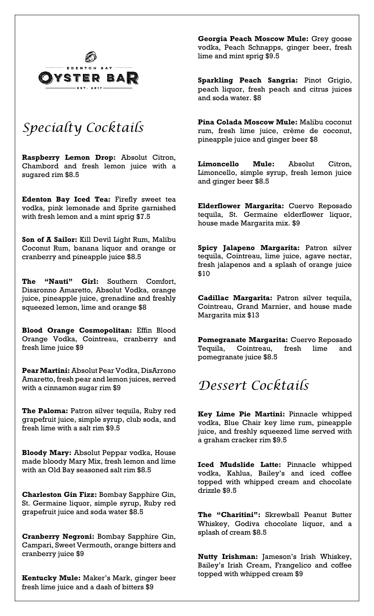

# *Specialty Cocktails*

**Raspberry Lemon Drop:** Absolut Citron, Chambord and fresh lemon juice with a sugared rim \$8.5

**Edenton Bay Iced Tea:** Firefly sweet tea vodka, pink lemonade and Sprite garnished with fresh lemon and a mint sprig \$7.5

**Son of A Sailor:** Kill Devil Light Rum, Malibu Coconut Rum, banana liquor and orange or cranberry and pineapple juice \$8.5

**The "Nauti" Girl:** Southern Comfort, Disaronno Amaretto, Absolut Vodka, orange juice, pineapple juice, grenadine and freshly squeezed lemon, lime and orange \$8

**Blood Orange Cosmopolitan:** Effin Blood Orange Vodka, Cointreau, cranberry and fresh lime juice \$9

**Pear Martini:** Absolut Pear Vodka, DisArrono Amaretto, fresh pear and lemon juices, served with a cinnamon sugar rim \$9

**The Paloma:** Patron silver tequila, Ruby red grapefruit juice, simple syrup, club soda, and fresh lime with a salt rim \$9.5

**Bloody Mary:** Absolut Peppar vodka, House made bloody Mary Mix, fresh lemon and lime with an Old Bay seasoned salt rim \$8.5

**Charleston Gin Fizz:** Bombay Sapphire Gin, St. Germaine liquor, simple syrup, Ruby red grapefruit juice and soda water \$8.5

**Cranberry Negroni:** Bombay Sapphire Gin, Campari, Sweet Vermouth, orange bitters and cranberry juice \$9

**Kentucky Mule:** Maker's Mark, ginger beer fresh lime juice and a dash of bitters \$9

**Georgia Peach Moscow Mule:** Grey goose vodka, Peach Schnapps, ginger beer, fresh lime and mint sprig \$9.5

**Sparkling Peach Sangria:** Pinot Grigio, peach liquor, fresh peach and citrus juices and soda water. \$8

**Pina Colada Moscow Mule:** Malibu coconut rum, fresh lime juice, crème de coconut, pineapple juice and ginger beer \$8

**Limoncello Mule:** Absolut Citron, Limoncello, simple syrup, fresh lemon juice and ginger beer \$8.5

**Elderflower Margarita:** Cuervo Reposado tequila, St. Germaine elderflower liquor, house made Margarita mix. \$9

**Spicy Jalapeno Margarita:** Patron silver tequila, Cointreau, lime juice, agave nectar, fresh jalapenos and a splash of orange juice \$10

**Cadillac Margarita:** Patron silver tequila, Cointreau, Grand Marnier, and house made Margarita mix \$13

**Pomegranate Margarita:** Cuervo Reposado Tequila, Cointreau, fresh lime and pomegranate juice \$8.5

## *Dessert Cocktails*

**Key Lime Pie Martini:** Pinnacle whipped vodka, Blue Chair key lime rum, pineapple juice, and freshly squeezed lime served with a graham cracker rim \$9.5

**Iced Mudslide Latte:** Pinnacle whipped vodka, Kahlua, Bailey's and iced coffee topped with whipped cream and chocolate drizzle \$9.5

**The "Charitini":** Skrewball Peanut Butter Whiskey, Godiva chocolate liquor, and a splash of cream \$8.5

**Nutty Irishman:** Jameson's Irish Whiskey, Bailey's Irish Cream, Frangelico and coffee topped with whipped cream \$9